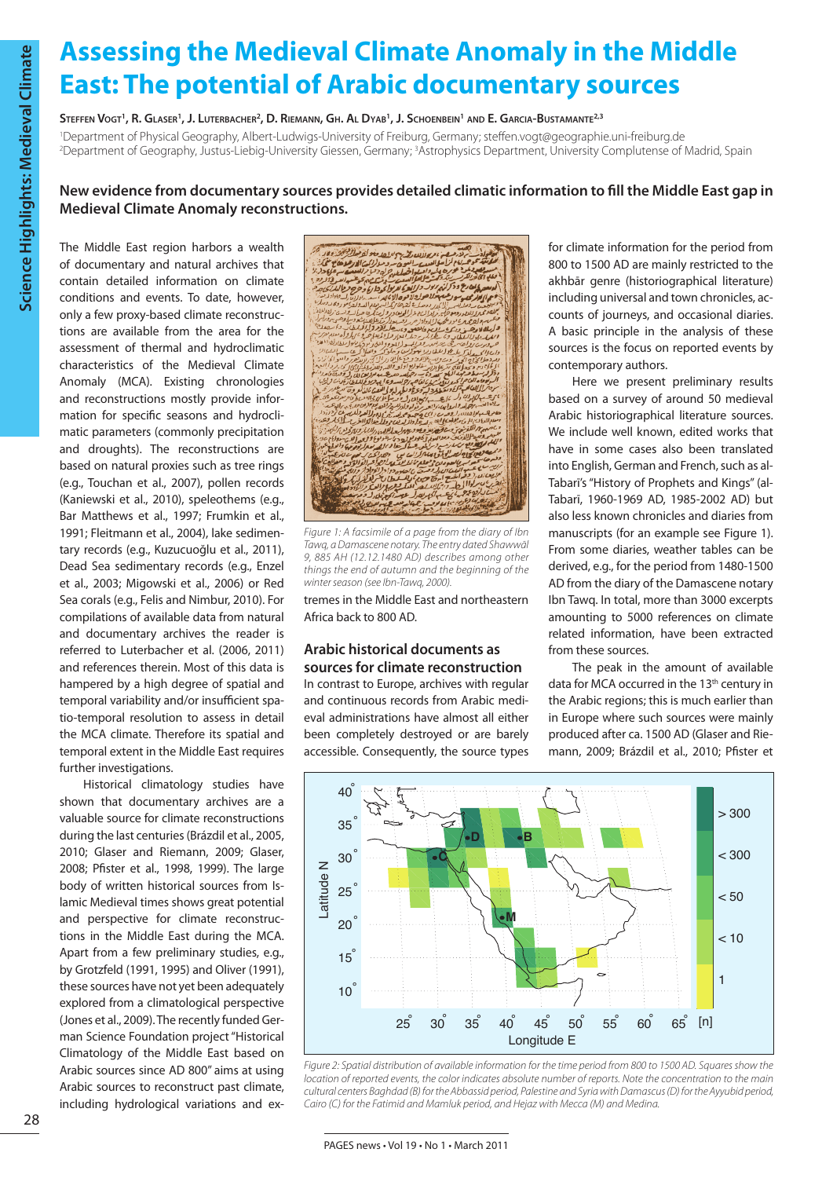# **Assessing the Medieval Climate Anomaly in the Middle East: The potential of Arabic documentary sources**

## Steffen Vogt<sup>1</sup>, R. Glaser<sup>1</sup>, J. Luterbacher<sup>2</sup>, D. Riemann, Gh. Al Dyab<sup>1</sup>, J. Schoenbein<sup>1</sup> and E. Garcia-Bustamante<sup>2,3</sup>

1 Department of Physical Geography, Albert-Ludwigs-University of Freiburg, Germany; steffen.vogt@geographie.uni-freiburg.de <sup>2</sup>Department of Geography, Justus-Liebig-University Giessen, Germany; <sup>3</sup>Astrophysics Department, University Complutense of Madrid, Spain

# **New evidence from documentary sources provides detailed climatic information to fill the Middle East gap in Medieval Climate Anomaly reconstructions.**

The Middle East region harbors a wealth of documentary and natural archives that contain detailed information on climate conditions and events. To date, however, only a few proxy-based climate reconstructions are available from the area for the assessment of thermal and hydroclimatic characteristics of the Medieval Climate Anomaly (MCA). Existing chronologies and reconstructions mostly provide information for specific seasons and hydroclimatic parameters (commonly precipitation and droughts). The reconstructions are based on natural proxies such as tree rings (e.g., Touchan et al., 2007), pollen records (Kaniewski et al., 2010), speleothems (e.g., Bar Matthews et al., 1997; Frumkin et al., 1991; Fleitmann et al., 2004), lake sedimentary records (e.g., Kuzucuoğlu et al., 2011), Dead Sea sedimentary records (e.g., Enzel et al., 2003; Migowski et al., 2006) or Red Sea corals (e.g., Felis and Nimbur, 2010). For compilations of available data from natural and documentary archives the reader is referred to Luterbacher et al. (2006, 2011) and references therein. Most of this data is hampered by a high degree of spatial and temporal variability and/or insufficient spatio-temporal resolution to assess in detail the MCA climate. Therefore its spatial and temporal extent in the Middle East requires further investigations.

Historical climatology studies have shown that documentary archives are a valuable source for climate reconstructions during the last centuries(Brázdil et al., 2005, 2010; Glaser and Riemann, 2009; Glaser, 2008; Pfister et al., 1998, 1999). The large body of written historical sources from Islamic Medieval times shows great potential and perspective for climate reconstructions in the Middle East during the MCA. Apart from a few preliminary studies, e.g., by Grotzfeld (1991, 1995) and Oliver (1991), these sources have not yet been adequately explored from a climatological perspective (Jones et al., 2009).The recently funded German Science Foundation project "Historical Climatology of the Middle East based on Arabic sources since AD 800" aims at using Arabic sources to reconstruct past climate, including hydrological variations and ex-

.<br>وي المسلم المسلم المسلم المسلم المسلم المسلم المسلم المسلم المسلم المسلم المسلم المسلم المسلم المسلم المسلم ال<br>رابع المراسم المسلم المسلم المسلم المسلم المسلم المسلم المسلم المسلم المسلم المسلم المسلم المسلم المسلم المس تسع ای میشتر سر زرداشت اعزالدوست و تروپس جو مسهولار و<br>ادبع به این دع و دکران بربوب *د از این کا مربو*لو داراع و خرج فردالدار<br>این این شهر به روشه میان در این و به این این بورعيه ولاص والاده والان  $2.183...01$ بع*دا مت*علان شع<sup>ود</sup><br><u>حل ل</u>وم1المللط ان کاران میں دیا بعد وہ : پہر دو درات<br>حیاتی کہ وی و و امراد اور انعقدی کاران وقتا<br>ایک براہ دار کہ و و ساحا بن 112 جراد ان واالمطد تبع

*Figure 1: A facsimile of a page from the diary of Ibn Tawq, a Damascene notary. The entry dated Shawwāl 9, 885 AH (12.12.1480 AD) describes among other things the end of autumn and the beginning of the winter season (see Ibn-Tawq, 2000).*

tremes in the Middle East and northeastern Africa back to 800 AD.

## **Arabic historical documents as sources for climate reconstruction**

In contrast to Europe, archives with regular and continuous records from Arabic medieval administrations have almost all either been completely destroyed or are barely accessible. Consequently, the source types for climate information for the period from 800 to 1500 AD are mainly restricted to the akhbār genre (historiographical literature) including universal and town chronicles, accounts of journeys, and occasional diaries. A basic principle in the analysis of these sources is the focus on reported events by contemporary authors.

Here we present preliminary results based on a survey of around 50 medieval Arabic historiographical literature sources. We include well known, edited works that have in some cases also been translated into English, German and French, such as al-Tabarī's "History of Prophets and Kings" (al-Tabarī, 1960-1969 AD, 1985-2002 AD) but also less known chronicles and diaries from manuscripts (for an example see Figure 1). From some diaries, weather tables can be derived, e.g., for the period from 1480-1500 AD from the diary of the Damascene notary Ibn Tawq. In total, more than 3000 excerpts amounting to 5000 references on climate related information, have been extracted from these sources.

The peak in the amount of available data for MCA occurred in the 13th century in the Arabic regions; this is much earlier than in Europe where such sources were mainly produced after ca. 1500 AD (Glaser and Riemann, 2009; Brázdil et al., 2010; Pfister et



*Figure 2: Spatial distribution of available information for the time period from 800 to 1500 AD. Squares show the location of reported events, the color indicates absolute number of reports. Note the concentration to the main cultural centers Baghdad (B) for the Abbassid period, Palestine and Syria with Damascus (D) for the Ayyubid period, Cairo (C) for the Fatimid and Mamluk period, and Hejaz with Mecca (M) and Medina.*